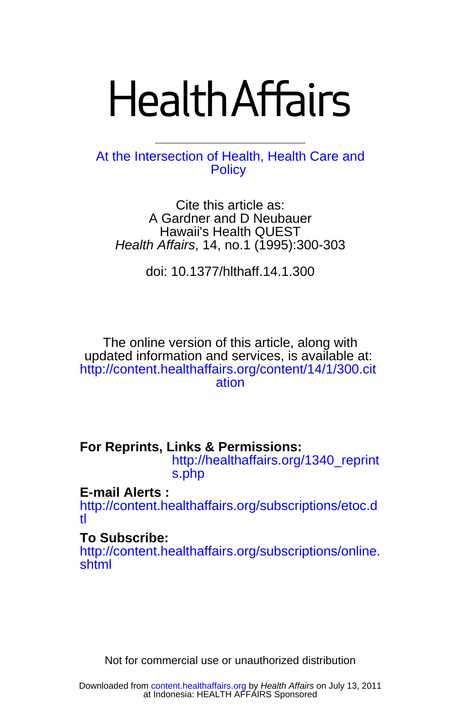# **Health Affairs**

**[Policy](http://www.healthaffairs.org)** At the Intersection of Health, Health Care and

Health Affairs, 14, no.1 (1995):300-303 Hawaii's Health QUEST A Gardner and D Neubauer Cite this article as:

doi: 10.1377/hlthaff.14.1.300

[ation](http://content.healthaffairs.org/content/14/1/300.citation) http://content.healthaffairs.org/content/14/1/300.cit updated information and services, is available at: The online version of this article, along with

**For Reprints, Links & Permissions:** 

[s.php](http://healthaffairs.org/1340_reprints.php) http://healthaffairs.org/1340\_reprint

**E-mail Alerts :** 

[tl](http://content.healthaffairs.org/subscriptions/etoc.dtl) http://content.healthaffairs.org/subscriptions/etoc.d

# **To Subscribe:**

[shtml](http://content.healthaffairs.org/subscriptions/online.shtml) http://content.healthaffairs.org/subscriptions/online.

Not for commercial use or unauthorized distribution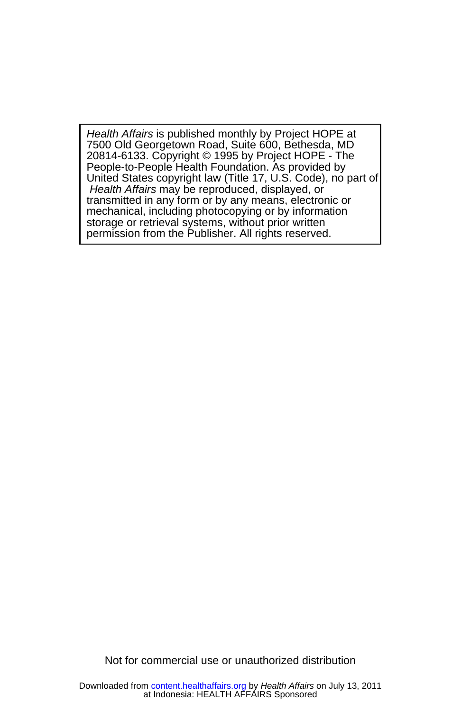permission from the Publisher. All rights reserved. storage or retrieval systems, without prior written mechanical, including photocopying or by information transmitted in any form or by any means, electronic or Health Affairs may be reproduced, displayed, or United States copyright law (Title 17, U.S. Code), no part of People-to-People Health Foundation. As provided by 20814-6133. Copyright © 1995 by Project HOPE - The 7500 Old Georgetown Road, Suite 600, Bethesda, MD Health Affairs is published monthly by Project HOPE at

Not for commercial use or unauthorized distribution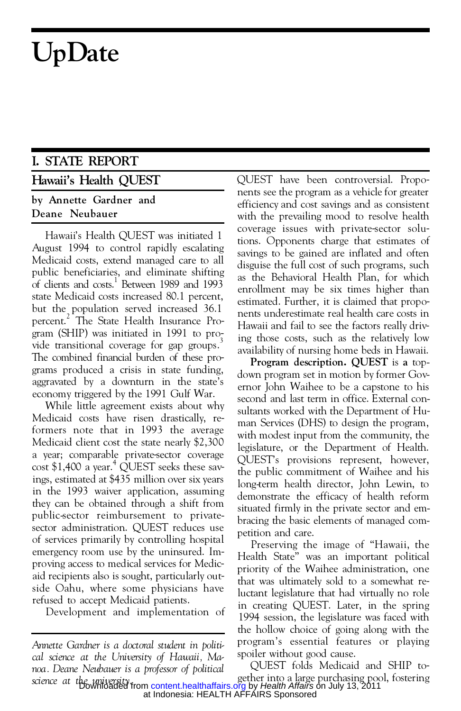# **UpDate**

# **I. STATE REPORT**

## **Hawaii's Health QUEST**

## **by Annette Gardner and Deane Neubauer**

Hawaii's Health QUEST was initiated 1 August 1994 to control rapidly escalating Medicaid costs, extend managed care to all public beneficiaries, and eliminate shifting of clients and  $\cosh^1$  Between 1989 and 1993 state Medicaid costs increased 80.1 percent, but the population served increased 36.1 percent. 2 The State Health Insurance Pro gram (SHIP) was initiated in 1991 to pro vide transitional coverage for gap groups.<sup>3</sup> The combined financial burden of these pro grams produced a crisis in state funding, aggravated by a downturn in the state's economy triggered by the 1991 Gulf War.

While little agreement exists about why Medicaid costs have risen drastically, reformers note that in 1993 the average Medicaid client cost the state nearly \$2,300 a year; comparable private-sector coverage cost \$1,400 a year.<sup>4</sup> QUEST seeks these savings, estimated at \$435 million over six years in the 1993 waiver application, assuming they can be obtained through a shift from public-sector reimbursement to privatesector administration. QUEST reduces use of services primarily by controlling hospital emergency room use by the uninsured. Im proving access to medical services for Medic aid recipients also is sought, particularly outside Oahu, where some physicians have refused to accept Medicaid patients.

Development and implementation of

QUEST have been controversial. Propo nents see the program as a vehicle for greater efficiency and cost savings and as consistent with the prevailing mood to resolve health coverage issues with private-sector solutions. Opponents charge that estimates of savings to be gained are inflated and often disguise the full cost of such programs, such as the Behavioral Health Plan, for which enrollment may be six times higher than estimated. Further, it is claimed that propo nents underestimate real health care costs in Hawaii and fail to see the factors really driving those costs, such as the relatively low availability of nursing home beds in Hawaii.

**Program description. QUEST** is **a** top down program set in motion by former Gov ernor John Waihee to be a capstone to his second and last term in office. External consultants worked with the Department of Hu man Services (DHS) to design the program, with modest input from the community, the legislature, or the Department of Health. QUEST's provisions represent, however, the public commitment of Waihee and his long-term health director, John Lewin, to demonstrate the efficacy of health reform situated firmly in the private sector and em bracing the basic elements of managed com petition and care.

Preserving the image of "Hawaii, the Health State" was an important political priority of the Waihee administration, one that was ultimately sold to a somewhat reluctant legislature that had virtually no role in creating QUEST. Later, in the spring 1994 session, the legislature was faced with the hollow choice of going along with the program's essential features or playing spoiler without good cause.

*science at the university.* gether into a large purchasing pool, fostering QUEST folds Medicaid and SHIP to at Indonesia: HEALTH AFFAIRS Sponsored Downloaded from [content.healthaffairs.org](http://content.healthaffairs.org/) by Health Affairs on July 13, 2011

*Annette Gardner is a doctoral student in political science at the University of Hawaii, Manoa. Deane Neubauer is a professor of political*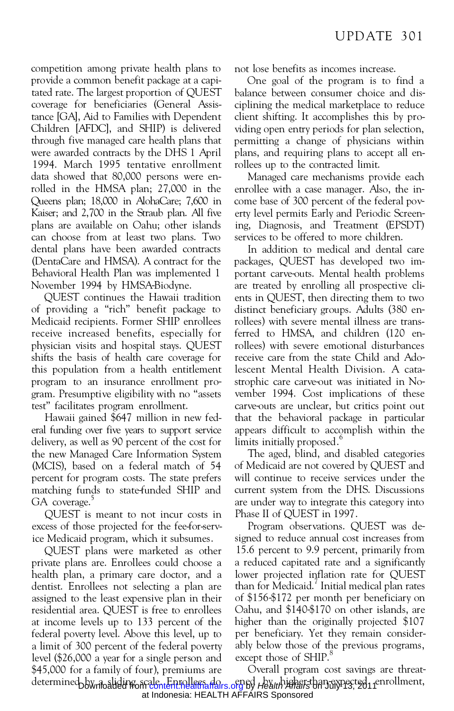competition among private health plans to provide a common benefit package at a capitated rate. The largest proportion of QUEST coverage for beneficiaries (General Assistance [GA], Aid to Families with Dependent Children [AFDC], and SHIP) is delivered through five managed care health plans that were awarded contracts by the DHS 1 April 1994. March 1995 tentative enrollment data showed that 80,000 persons were enrolled in the HMSA plan; 27,000 in the Queens plan; 18,000 in AlohaCare; 7,600 in Kaiser; and 2,700 in the Straub plan. All five plans are available on Oahu; other islands can choose from at least two plans. Two dental plans have been awarded contracts (DentaCare and HMSA). A contract for the Behavioral Health Plan was implemented 1 November 1994 by HMSA-Biodyne.

QUEST continues the Hawaii tradition of providing a "rich" benefit package to Medicaid recipients. Former SHIP enrollees receive increased benefits, especially for physician visits and hospital stays. QUEST shifts the basis of health care coverage for this population from a health entitlement program to an insurance enrollment pro gram. Presumptive eligibility with no "assets test" facilitates program enrollment.

Hawaii gained \$647 million in new fed eral funding over five years to support service delivery, as well as 90 percent of the cost for the new Managed Care Information System (MCIS), based on a federal match of 54 percent for program costs. The state prefers matching funds to state-funded SHIP and GA coverage.

QUEST is meant to not incur costs in excess of those projected for the fee-for-service Medicaid program, which it subsumes.

QUEST plans were marketed as other private plans are. Enrollees could choose a health plan, a primary care doctor, and a dentist. Enrollees not selecting a plan are assigned to the least expensive plan in their residential area. QUEST is free to enrollees at income levels up to 133 percent of the federal poverty level. Above this level, up to a limit of 300 percent of the federal poverty level (\$26,000 a year for a single person and \$45,000 for a family of four), premiums are

not lose benefits as incomes increase.

One goal of the program is to find a balance between consumer choice and dis ciplining the medical marketplace to reduce client shifting. It accomplishes this by pro viding open entry periods for plan selection, permitting a change of physicians within plans, and requiring plans to accept all enrollees up to the contracted limit.

Managed care mechanisms provide each enrollee with a case manager. Also, the in come base of 300 percent of the federal pov erty level permits Early and Periodic Screening, Diagnosis, and Treatment (EPSDT) services to be offered to more children.

In addition to medical and dental care packages, QUEST has developed two im portant carve-outs. Mental health problems are treated by enrolling all prospective cli ents in QUEST, then directing them to two distinct beneficiary groups. Adults (380 enrollees) with severe mental illness are transferred to HMSA, and children (120 enrollees) with severe emotional disturbances receive care from the state Child and Adolescent Mental Health Division. A catastrophic care carve-out was initiated in No vember 1994. Cost implications of these carve-outs are unclear, but critics point out that the behavioral package in particular appears difficult to accomplish within the limits initially proposed.<sup>6</sup>

The aged, blind, and disabled categories of Medicaid are not covered by QUEST and will continue to receive services under the current system from the DHS. Discussions are under way to integrate this category into Phase II of QUEST in 1997.

Program observations. QUEST was designed to reduce annual cost increases from 15.6 percent to 9.9 percent, primarily from a reduced capitated rate and a significantly lower projected inflation rate for QUEST than for Medicaid.<sup>7</sup> Initial medical plan rates of \$156-\$172 per month per beneficiary on Oahu, and \$140-\$170 on other islands, are higher than the originally projected \$107 per beneficiary. Yet they remain consider ably below those of the previous programs, except those of SHIP.<sup>8</sup>

determined by <sub>in</sub> bliding scale, Enrollees da<sub>ns</sub> oped by whigher-than-expected enrollment, Overall program cost savings are threat at Indonesia: HEALTH AFFAIRS Sponsored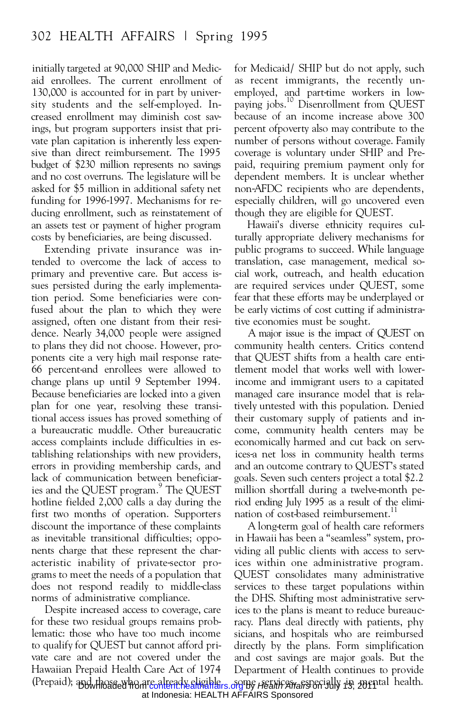initially targeted at 90,000 SHIP and Medic aid enrollees. The current enrollment of 130,000 is accounted for in part by university students and the self-employed. In creased enrollment may diminish cost savings, but program supporters insist that pri vate plan capitation is inherently less expensive than direct reimbursement. The 1995 budget of \$230 million represents no savings and no cost overruns. The legislature will be asked for \$5 million in additional safety net funding for 1996-1997. Mechanisms for re ducing enrollment, such as reinstatement of an assets test or payment of higher program costs by beneficiaries, are being discussed.

Extending private insurance was intended to overcome the lack of access to primary and preventive care. But access issues persisted during the early implementation period. Some beneficiaries were confused about the plan to which they were assigned, often one distant from their resi dence. Nearly 34,000 people were assigned to plans they did not choose. However, pro ponents cite a very high mail response rate- 66 percent-and enrollees were allowed to change plans up until 9 September 1994. Because beneficiaries are locked into a given plan for one year, resolving these transitional access issues has proved something of a bureaucratic muddle. Other bureaucratic access complaints include difficulties in establishing relationships with new providers, errors in providing membership cards, and lack of communication between beneficiaries and the QUEST program.<sup>9</sup> The QUEST m hotline fielded 2,000 calls a day during the first two months of operation. Supporters discount the importance of these complaints as inevitable transitional difficulties; oppo nents charge that these represent the char acteristic inability of private-sector pro grams to meet the needs of a population that does not respond readily to middle-class norms of administrative compliance.

Despite increased access to coverage, care for these two residual groups remains problematic: those who have too much income to qualify for QUEST but cannot afford pri vate care and are not covered under the Hawaiian Prepaid Health Care Act of 1974 (Prepaid); and those who are already eligible, org by Health Afrafa pecially 13, 2011 al health.

for Medicaid/ SHIP but do not apply, such as recent immigrants, the recently un employed, and part-time workers in low paying jobs.<sup>10</sup> Disenrollment from QUEST because of an income increase above 300 percent ofpoverty also may contribute to the number of persons without coverage. Family coverage is voluntary under SHIP and Pre paid, requiring premium payment only for dependent members. It is unclear whether non-AFDC recipients who are dependents, especially children, will go uncovered even though they are eligible for QUEST.

Hawaii's diverse ethnicity requires culturally appropriate delivery mechanisms for public programs to succeed. While language translation, case management, medical so cial work, outreach, and health education are required services under QUEST, some fear that these efforts may be underplayed or be early victims of cost cutting if administrative economies must be sought.

A major issue is the impact of QUEST on community health centers. Critics contend that QUEST shifts from a health care entitlement model that works well with lowerincome and immigrant users to a capitated managed care insurance model that is relatively untested with this population. Denied their customary supply of patients and in come, community health centers may be economically harmed and cut back on services-a net loss in community health terms and an outcome contrary to QUEST's stated goals. Seven such centers project a total \$2.2 million shortfall during a twelve-month period ending July 1995 as a result of the elimi nation of cost-based reimbursement.<sup>1</sup>

A long-term goal of health care reformers in Hawaii has been a "seamless" system, pro viding all public clients with access to services within one administrative program. QUEST consolidates many administrative services to these target populations within the DHS. Shifting most administrative services to the plans is meant to reduce bureaucracy. Plans deal directly with patients, phy sicians, and hospitals who are reimbursed directly by the plans. Form simplification and cost savings are major goals. But the Department of Health continues to provide

at Indonesia: HEALTH AFFAIRS Sponsored